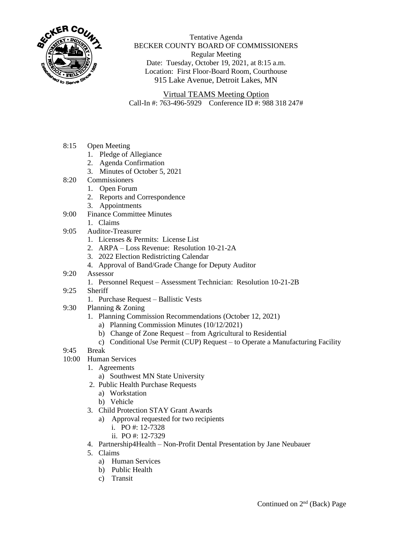

Tentative Agenda BECKER COUNTY BOARD OF COMMISSIONERS Regular Meeting Date: Tuesday, October 19, 2021, at 8:15 a.m. Location: First Floor-Board Room, Courthouse 915 Lake Avenue, Detroit Lakes, MN

Virtual TEAMS Meeting Option Call-In #: 763-496-5929 Conference ID #: 988 318 247#

- 8:15 Open Meeting
	- 1. Pledge of Allegiance
	- 2. Agenda Confirmation
	- 3. Minutes of October 5, 2021
- 8:20 Commissioners
	- 1. Open Forum
	- 2. Reports and Correspondence
	- 3. Appointments
- 9:00 Finance Committee Minutes
	- 1. Claims
- 9:05 Auditor-Treasurer
	- 1. Licenses & Permits: License List
	- 2. ARPA Loss Revenue: Resolution 10-21-2A
	- 3. 2022 Election Redistricting Calendar
	- 4. Approval of Band/Grade Change for Deputy Auditor
- 9:20 Assessor
	- 1. Personnel Request Assessment Technician: Resolution 10-21-2B
- 9:25 Sheriff
	- 1. Purchase Request Ballistic Vests
- 9:30 Planning & Zoning
	- 1. Planning Commission Recommendations (October 12, 2021)
		- a) Planning Commission Minutes (10/12/2021)
		- b) Change of Zone Request from Agricultural to Residential
		- c) Conditional Use Permit (CUP) Request to Operate a Manufacturing Facility
- 9:45 Break
- 10:00 Human Services
	- 1. Agreements
		- a) Southwest MN State University
	- 2. Public Health Purchase Requests
		- a) Workstation
		- b) Vehicle
	- 3. Child Protection STAY Grant Awards
		- a) Approval requested for two recipients
			- i. PO #: 12-7328
			- ii. PO #: 12-7329
	- 4. Partnership4Health Non-Profit Dental Presentation by Jane Neubauer
	- 5. Claims
		- a) Human Services
		- b) Public Health
		- c) Transit